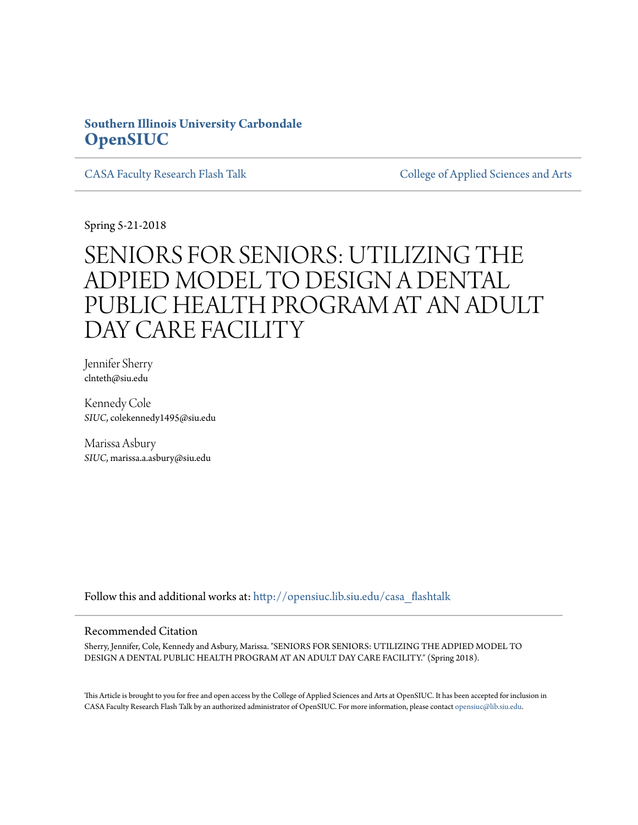## **Southern Illinois University Carbondale [OpenSIUC](http://opensiuc.lib.siu.edu?utm_source=opensiuc.lib.siu.edu%2Fcasa_flashtalk%2F25&utm_medium=PDF&utm_campaign=PDFCoverPages)**

[CASA Faculty Research Flash Talk](http://opensiuc.lib.siu.edu/casa_flashtalk?utm_source=opensiuc.lib.siu.edu%2Fcasa_flashtalk%2F25&utm_medium=PDF&utm_campaign=PDFCoverPages) [College of Applied Sciences and Arts](http://opensiuc.lib.siu.edu/casa?utm_source=opensiuc.lib.siu.edu%2Fcasa_flashtalk%2F25&utm_medium=PDF&utm_campaign=PDFCoverPages)

Spring 5-21-2018

# SENIORS FOR SENIORS: UTILIZING THE ADPIED MODEL TO DESIGN A DENTAL PUBLIC HEALTH PROGRAM AT AN ADULT DAY CARE FACILITY

Jennifer Sherry clnteth@siu.edu

Kennedy Cole *SIUC*, colekennedy1495@siu.edu

Marissa Asbury *SIUC*, marissa.a.asbury@siu.edu

Follow this and additional works at: [http://opensiuc.lib.siu.edu/casa\\_flashtalk](http://opensiuc.lib.siu.edu/casa_flashtalk?utm_source=opensiuc.lib.siu.edu%2Fcasa_flashtalk%2F25&utm_medium=PDF&utm_campaign=PDFCoverPages)

#### Recommended Citation

Sherry, Jennifer, Cole, Kennedy and Asbury, Marissa. "SENIORS FOR SENIORS: UTILIZING THE ADPIED MODEL TO DESIGN A DENTAL PUBLIC HEALTH PROGRAM AT AN ADULT DAY CARE FACILITY." (Spring 2018).

This Article is brought to you for free and open access by the College of Applied Sciences and Arts at OpenSIUC. It has been accepted for inclusion in CASA Faculty Research Flash Talk by an authorized administrator of OpenSIUC. For more information, please contact [opensiuc@lib.siu.edu.](mailto:opensiuc@lib.siu.edu)